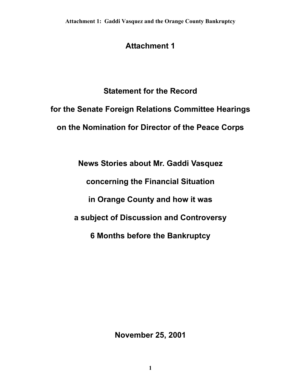# **Attachment 1**

# **Statement for the Record**

# **for the Senate Foreign Relations Committee Hearings on the Nomination for Director of the Peace Corps**

**News Stories about Mr. Gaddi Vasquez** 

**concerning the Financial Situation** 

**in Orange County and how it was** 

**a subject of Discussion and Controversy** 

**6 Months before the Bankruptcy** 

**November 25, 2001**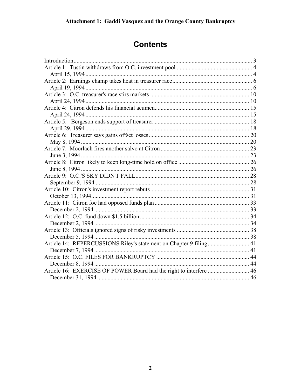# **Contents**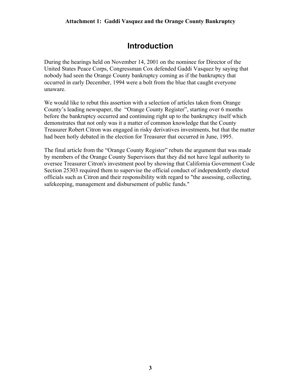# **Introduction**

<span id="page-2-0"></span>During the hearings held on November 14, 2001 on the nominee for Director of the United States Peace Corps, Congressman Cox defended Gaddi Vasquez by saying that nobody had seen the Orange County bankruptcy coming as if the bankruptcy that occurred in early December, 1994 were a bolt from the blue that caught everyone unaware.

We would like to rebut this assertion with a selection of articles taken from Orange County's leading newspaper, the "Orange County Register", starting over 6 months before the bankruptcy occurred and continuing right up to the bankruptcy itself which demonstrates that not only was it a matter of common knowledge that the County Treasurer Robert Citron was engaged in risky derivatives investments, but that the matter had been hotly debated in the election for Treasurer that occurred in June, 1995.

The final article from the "Orange County Register" rebuts the argument that was made by members of the Orange County Supervisors that they did not have legal authority to oversee Treasurer Citron's investment pool by showing that California Government Code Section 25303 required them to supervise the official conduct of independently elected officials such as Citron and their responsibility with regard to "the assessing, collecting, safekeeping, management and disbursement of public funds."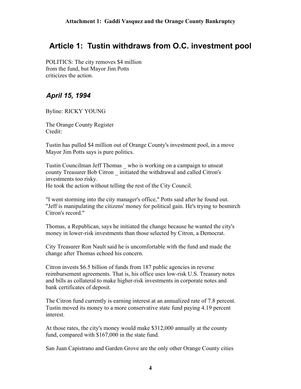### <span id="page-3-0"></span>**Article 1: Tustin withdraws from O.C. investment pool**

 POLITICS: The city removes \$4 million from the fund, but Mayor Jim Potts criticizes the action.

### *April 15, 1994*

Byline: RICKY YOUNG

 The Orange County Register Credit:

 Tustin has pulled \$4 million out of Orange County's investment pool, in a move Mayor Jim Potts says is pure politics.

 Tustin Councilman Jeff Thomas \_ who is working on a campaign to unseat county Treasurer Bob Citron \_ initiated the withdrawal and called Citron's investments too risky.

He took the action without telling the rest of the City Council.

 "I went storming into the city manager's office," Potts said after he found out. "Jeff is manipulating the citizens' money for political gain. He's trying to besmirch Citron's record."

 Thomas, a Republican, says he initiated the change because he wanted the city's money in lower-risk investments than those selected by Citron, a Democrat.

 City Treasurer Ron Nault said he is uncomfortable with the fund and made the change after Thomas echoed his concern.

 Citron invests \$6.5 billion of funds from 187 public agencies in reverse reimbursement agreements. That is, his office uses low-risk U.S. Treasury notes and bills as collateral to make higher-risk investments in corporate notes and bank certificates of deposit.

 The Citron fund currently is earning interest at an annualized rate of 7.8 percent. Tustin moved its money to a more conservative state fund paying 4.19 percent interest.

 At those rates, the city's money would make \$312,000 annually at the county fund, compared with \$167,000 in the state fund.

San Juan Capistrano and Garden Grove are the only other Orange County cities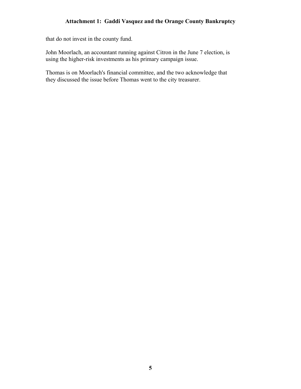that do not invest in the county fund.

 John Moorlach, an accountant running against Citron in the June 7 election, is using the higher-risk investments as his primary campaign issue.

 Thomas is on Moorlach's financial committee, and the two acknowledge that they discussed the issue before Thomas went to the city treasurer.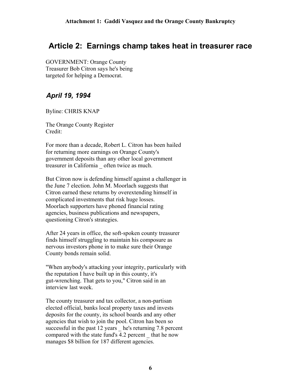### <span id="page-5-0"></span>**Article 2: Earnings champ takes heat in treasurer race**

 GOVERNMENT: Orange County Treasurer Bob Citron says he's being targeted for helping a Democrat.

### *April 19, 1994*

Byline: CHRIS KNAP

 The Orange County Register Credit:

 For more than a decade, Robert L. Citron has been hailed for returning more earnings on Orange County's government deposits than any other local government treasurer in California \_ often twice as much.

 But Citron now is defending himself against a challenger in the June 7 election. John M. Moorlach suggests that Citron earned these returns by overextending himself in complicated investments that risk huge losses. Moorlach supporters have phoned financial rating agencies, business publications and newspapers, questioning Citron's strategies.

 After 24 years in office, the soft-spoken county treasurer finds himself struggling to maintain his composure as nervous investors phone in to make sure their Orange County bonds remain solid.

 "When anybody's attacking your integrity, particularly with the reputation I have built up in this county, it's gut-wrenching. That gets to you," Citron said in an interview last week.

 The county treasurer and tax collector, a non-partisan elected official, banks local property taxes and invests deposits for the county, its school boards and any other agencies that wish to join the pool. Citron has been so successful in the past 12 years he's returning 7.8 percent compared with the state fund's 4.2 percent \_ that he now manages \$8 billion for 187 different agencies.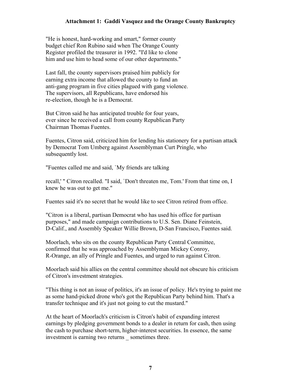"He is honest, hard-working and smart," former county budget chief Ron Rubino said when The Orange County Register profiled the treasurer in 1992. "I'd like to clone him and use him to head some of our other departments."

 Last fall, the county supervisors praised him publicly for earning extra income that allowed the county to fund an anti-gang program in five cities plagued with gang violence. The supervisors, all Republicans, have endorsed his re-election, though he is a Democrat.

 But Citron said he has anticipated trouble for four years, ever since he received a call from county Republican Party Chairman Thomas Fuentes.

 Fuentes, Citron said, criticized him for lending his stationery for a partisan attack by Democrat Tom Umberg against Assemblyman Curt Pringle, who subsequently lost.

"Fuentes called me and said, `My friends are talking

 recall,' " Citron recalled. "I said, `Don't threaten me, Tom.' From that time on, I knew he was out to get me."

Fuentes said it's no secret that he would like to see Citron retired from office.

 "Citron is a liberal, partisan Democrat who has used his office for partisan purposes," and made campaign contributions to U.S. Sen. Diane Feinstein, D-Calif., and Assembly Speaker Willie Brown, D-San Francisco, Fuentes said.

 Moorlach, who sits on the county Republican Party Central Committee, confirmed that he was approached by Assemblyman Mickey Conroy, R-Orange, an ally of Pringle and Fuentes, and urged to run against Citron.

 Moorlach said his allies on the central committee should not obscure his criticism of Citron's investment strategies.

 "This thing is not an issue of politics, it's an issue of policy. He's trying to paint me as some hand-picked drone who's got the Republican Party behind him. That's a transfer technique and it's just not going to cut the mustard."

 At the heart of Moorlach's criticism is Citron's habit of expanding interest earnings by pledging government bonds to a dealer in return for cash, then using the cash to purchase short-term, higher-interest securities. In essence, the same investment is earning two returns sometimes three.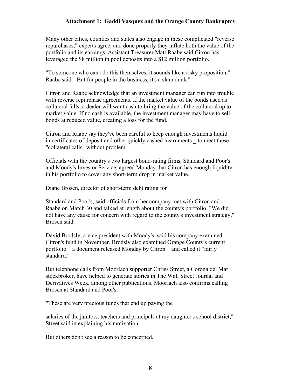Many other cities, counties and states also engage in these complicated "reverse repurchases," experts agree, and done properly they inflate both the value of the portfolio and its earnings. Assistant Treasurer Matt Raabe said Citron has leveraged the \$8 million in pool deposits into a \$12 million portfolio.

 "To someone who can't do this themselves, it sounds like a risky proposition," Raabe said. "But for people in the business, it's a slam dunk."

 Citron and Raabe acknowledge that an investment manager can run into trouble with reverse repurchase agreements. If the market value of the bonds used as collateral falls, a dealer will want cash to bring the value of the collateral up to market value. If no cash is available, the investment manager may have to sell bonds at reduced value, creating a loss for the fund.

 Citron and Raabe say they've been careful to keep enough investments liquid \_ in certificates of deposit and other quickly cashed instruments \_ to meet these "collateral calls" without problem.

 Officials with the country's two largest bond-rating firms, Standard and Poor's and Moody's Investor Service, agreed Monday that Citron has enough liquidity in his portfolio to cover any short-term drop in market value.

Diane Brosen, director of short-term debt rating for

 Standard and Poor's, said officials from her company met with Citron and Raabe on March 30 and talked at length about the county's portfolio. "We did not have any cause for concern with regard to the county's investment strategy," Brosen said.

 David Brodsly, a vice president with Moody's, said his company examined Citron's fund in November. Brodsly also examined Orange County's current portfolio a document released Monday by Citron and called it "fairly" standard."

 But telephone calls from Moorlach supporter Chriss Street, a Corona del Mar stockbroker, have helped to generate stories in The Wall Street Journal and Derivatives Week, among other publications. Moorlach also confirms calling Brosen at Standard and Poor's.

"These are very precious funds that end up paying the

 salaries of the janitors, teachers and principals at my daughter's school district," Street said in explaining his motivation.

But others don't see a reason to be concerned.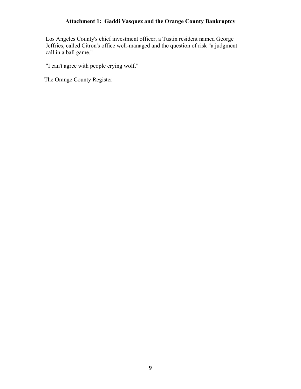Los Angeles County's chief investment officer, a Tustin resident named George Jeffries, called Citron's office well-managed and the question of risk "a judgment call in a ball game."

"I can't agree with people crying wolf."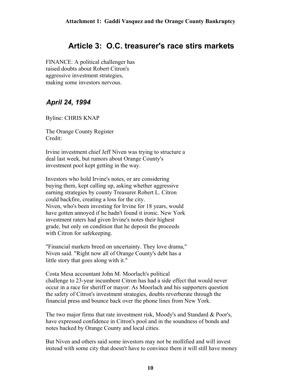# **Article 3: O.C. treasurer's race stirs markets**

<span id="page-9-0"></span> FINANCE: A political challenger has raised doubts about Robert Citron's aggressive investment strategies, making some investors nervous.

### *April 24, 1994*

Byline: CHRIS KNAP

 The Orange County Register Credit:

 Irvine investment chief Jeff Niven was trying to structure a deal last week, but rumors about Orange County's investment pool kept getting in the way.

 Investors who hold Irvine's notes, or are considering buying them, kept calling up, asking whether aggressive earning strategies by county Treasurer Robert L. Citron could backfire, creating a loss for the city. Niven, who's been investing for Irvine for 18 years, would have gotten annoyed if he hadn't found it ironic. New York investment raters had given Irvine's notes their highest grade, but only on condition that he deposit the proceeds with Citron for safekeeping.

 "Financial markets breed on uncertainty. They love drama," Niven said. "Right now all of Orange County's debt has a little story that goes along with it."

 Costa Mesa accountant John M. Moorlach's political challenge to 23-year incumbent Citron has had a side effect that would never occur in a race for sheriff or mayor: As Moorlach and his supporters question the safety of Citron's investment strategies, doubts reverberate through the financial press and bounce back over the phone lines from New York.

 The two major firms that rate investment risk, Moody's and Standard & Poor's, have expressed confidence in Citron's pool and in the soundness of bonds and notes backed by Orange County and local cities.

 But Niven and others said some investors may not be mollified and will invest instead with some city that doesn't have to convince them it will still have money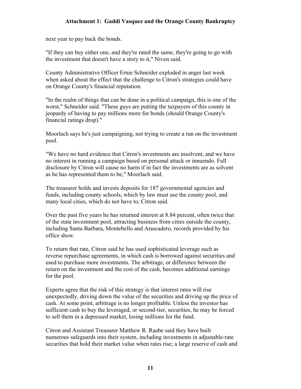next year to pay back the bonds.

 "If they can buy either one, and they're rated the same, they're going to go with the investment that doesn't have a story to it," Niven said.

 County Administrative Officer Ernie Schneider exploded in anger last week when asked about the effect that the challenge to Citron's strategies could have on Orange County's financial reputation.

 "In the realm of things that can be done in a political campaign, this is one of the worst," Schneider said. "These guys are putting the taxpayers of this county in jeopardy of having to pay millions more for bonds (should Orange County's financial ratings drop)."

 Moorlach says he's just campaigning, not trying to create a run on the investment pool.

 "We have no hard evidence that Citron's investments are insolvent, and we have no interest in running a campaign based on personal attack or innuendo. Full disclosure by Citron will cause no harm if in fact the investments are as solvent as he has represented them to be," Moorlach said.

 The treasurer holds and invests deposits for 187 governmental agencies and funds, including county schools, which by law must use the county pool, and many local cities, which do not have to, Citron said.

 Over the past five years he has returned interest at 8.84 percent, often twice that of the state investment pool, attracting business from cities outside the county, including Santa Barbara, Montebello and Atascadero, records provided by his office show.

 To return that rate, Citron said he has used sophisticated leverage such as reverse repurchase agreements, in which cash is borrowed against securities and used to purchase more investments. The arbitrage, or difference between the return on the investment and the cost of the cash, becomes additional earnings for the pool.

 Experts agree that the risk of this strategy is that interest rates will rise unexpectedly, driving down the value of the securities and driving up the price of cash. At some point, arbitrage is no longer profitable. Unless the investor has sufficient cash to buy the leveraged, or second-tier, securities, he may be forced to sell them in a depressed market, losing millions for the fund.

 Citron and Assistant Treasurer Matthew R. Raabe said they have built numerous safeguards into their system, including investments in adjustable-rate securities that hold their market value when rates rise; a large reserve of cash and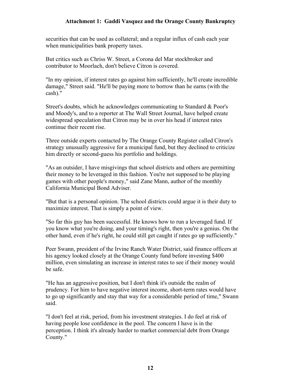securities that can be used as collateral; and a regular influx of cash each year when municipalities bank property taxes.

 But critics such as Chriss W. Street, a Corona del Mar stockbroker and contributor to Moorlach, don't believe Citron is covered.

 "In my opinion, if interest rates go against him sufficiently, he'll create incredible damage," Street said. "He'll be paying more to borrow than he earns (with the cash)."

 Street's doubts, which he acknowledges communicating to Standard & Poor's and Moody's, and to a reporter at The Wall Street Journal, have helped create widespread speculation that Citron may be in over his head if interest rates continue their recent rise.

 Three outside experts contacted by The Orange County Register called Citron's strategy unusually aggressive for a municipal fund, but they declined to criticize him directly or second-guess his portfolio and holdings.

 "As an outsider, I have misgivings that school districts and others are permitting their money to be leveraged in this fashion. You're not supposed to be playing games with other people's money," said Zane Mann, author of the monthly California Municipal Bond Adviser.

 "But that is a personal opinion. The school districts could argue it is their duty to maximize interest. That is simply a point of view.

 "So far this guy has been successful. He knows how to run a leveraged fund. If you know what you're doing, and your timing's right, then you're a genius. On the other hand, even if he's right, he could still get caught if rates go up sufficiently."

 Peer Swann, president of the Irvine Ranch Water District, said finance officers at his agency looked closely at the Orange County fund before investing \$400 million, even simulating an increase in interest rates to see if their money would be safe.

 "He has an aggressive position, but I don't think it's outside the realm of prudency. For him to have negative interest income, short-term rates would have to go up significantly and stay that way for a considerable period of time," Swann said.

 "I don't feel at risk, period, from his investment strategies. I do feel at risk of having people lose confidence in the pool. The concern I have is in the perception. I think it's already harder to market commercial debt from Orange County."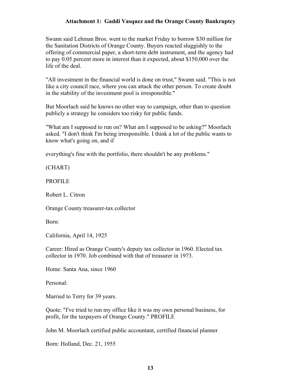Swann said Lehman Bros. went to the market Friday to borrow \$30 million for the Sanitation Districts of Orange County. Buyers reacted sluggishly to the offering of commercial paper, a short-term debt instrument, and the agency had to pay 0.05 percent more in interest than it expected, about \$150,000 over the life of the deal.

 "All investment in the financial world is done on trust," Swann said. "This is not like a city council race, where you can attack the other person. To create doubt in the stability of the investment pool is irresponsible."

 But Moorlach said he knows no other way to campaign, other than to question publicly a strategy he considers too risky for public funds.

 "What am I supposed to run on? What am I supposed to be asking?" Moorlach asked. "I don't think I'm being irresponsible. I think a lot of the public wants to know what's going on, and if

everything's fine with the portfolio, there shouldn't be any problems."

(CHART)

PROFILE

Robert L. Citron

Orange County treasurer-tax collector

Born:

California, April 14, 1925

 Career: Hired as Orange County's deputy tax collector in 1960. Elected tax collector in 1970. Job combined with that of treasurer in 1973.

Home: Santa Ana, since 1960

Personal:

Married to Terry for 39 years.

 Quote: "I've tried to run my office like it was my own personal business, for profit, for the taxpayers of Orange County." PROFILE

John M. Moorlach certified public accountant, certified financial planner

Born: Holland, Dec. 21, 1955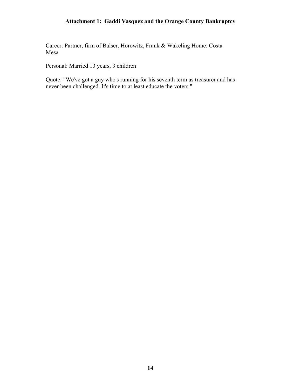Career: Partner, firm of Balser, Horowitz, Frank & Wakeling Home: Costa Mesa

Personal: Married 13 years, 3 children

 Quote: "We've got a guy who's running for his seventh term as treasurer and has never been challenged. It's time to at least educate the voters."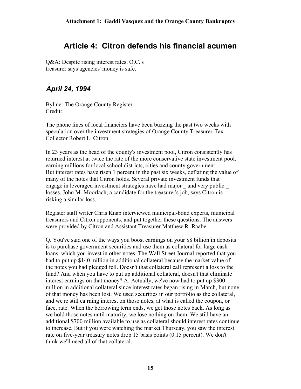# **Article 4: Citron defends his financial acumen**

<span id="page-14-0"></span> Q&A: Despite rising interest rates, O.C.'s treasurer says agencies' money is safe.

### *April 24, 1994*

 Byline: The Orange County Register Credit:

 The phone lines of local financiers have been buzzing the past two weeks with speculation over the investment strategies of Orange County Treasurer-Tax Collector Robert L. Citron.

 In 23 years as the head of the county's investment pool, Citron consistently has returned interest at twice the rate of the more conservative state investment pool, earning millions for local school districts, cities and county government. But interest rates have risen 1 percent in the past six weeks, deflating the value of many of the notes that Citron holds. Several private investment funds that engage in leveraged investment strategies have had major and very public losses. John M. Moorlach, a candidate for the treasurer's job, says Citron is risking a similar loss.

 Register staff writer Chris Knap interviewed municipal-bond experts, municipal treasurers and Citron opponents, and put together these questions. The answers were provided by Citron and Assistant Treasurer Matthew R. Raabe.

 Q. You've said one of the ways you boost earnings on your \$8 billion in deposits is to purchase government securities and use them as collateral for large cash loans, which you invest in other notes. The Wall Street Journal reported that you had to put up \$140 million in additional collateral because the market value of the notes you had pledged fell. Doesn't that collateral call represent a loss to the fund? And when you have to put up additional collateral, doesn't that eliminate interest earnings on that money? A. Actually, we've now had to put up \$300 million in additional collateral since interest rates began rising in March, but none of that money has been lost. We used securities in our portfolio as the collateral, and we're still ea rning interest on those notes, at what is called the coupon, or face, rate. When the borrowing term ends, we get those notes back. As long as we hold those notes until maturity, we lose nothing on them. We still have an additional \$700 million available to use as collateral should interest rates continue to increase. But if you were watching the market Thursday, you saw the interest rate on five-year treasury notes drop 15 basis points (0.15 percent). We don't think we'll need all of that collateral.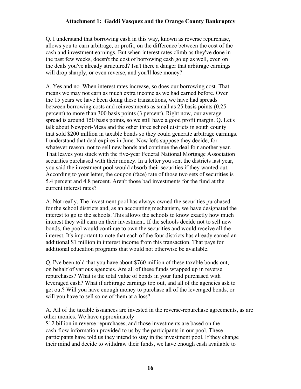Q. I understand that borrowing cash in this way, known as reverse repurchase, allows you to earn arbitrage, or profit, on the difference between the cost of the cash and investment earnings. But when interest rates climb as they've done in the past few weeks, doesn't the cost of borrowing cash go up as well, even on the deals you've already structured? Isn't there a danger that arbitrage earnings will drop sharply, or even reverse, and you'll lose money?

 A. Yes and no. When interest rates increase, so does our borrowing cost. That means we may not earn as much extra income as we had earned before. Over the 15 years we have been doing these transactions, we have had spreads between borrowing costs and reinvestments as small as 25 basis points (0.25 percent) to more than 300 basis points (3 percent). Right now, our average spread is around 150 basis points, so we still have a good profit margin. Q. Let's talk about Newport-Mesa and the other three school districts in south county that sold \$200 million in taxable bonds so they could generate arbitrage earnings. I understand that deal expires in June. Now let's suppose they decide, for whatever reason, not to sell new bonds and continue the deal fo r another year. That leaves you stuck with the five-year Federal National Mortgage Association securities purchased with their money. In a letter you sent the districts last year, you said the investment pool would absorb their securities if they wanted out. According to your letter, the coupon (face) rate of those two sets of securities is 5.4 percent and 4.8 percent. Aren't those bad investments for the fund at the current interest rates?

 A. Not really. The investment pool has always owned the securities purchased for the school districts and, as an accounting mechanism, we have designated the interest to go to the schools. This allows the schools to know exactly how much interest they will earn on their investment. If the schools decide not to sell new bonds, the pool would continue to own the securities and would receive all the interest. It's important to note that each of the four districts has already earned an additional \$1 million in interest income from this transaction. That pays for additional education programs that would not otherwise be available.

 Q. I've been told that you have about \$760 million of these taxable bonds out, on behalf of various agencies. Are all of these funds wrapped up in reverse repurchases? What is the total value of bonds in your fund purchased with leveraged cash? What if arbitrage earnings top out, and all of the agencies ask to get out? Will you have enough money to purchase all of the leveraged bonds, or will you have to sell some of them at a loss?

 A. All of the taxable issuances are invested in the reverse-repurchase agreements, as are other monies. We have approximately

 \$12 billion in reverse repurchases, and those investments are based on the cash-flow information provided to us by the participants in our pool. These participants have told us they intend to stay in the investment pool. If they change their mind and decide to withdraw their funds, we have enough cash available to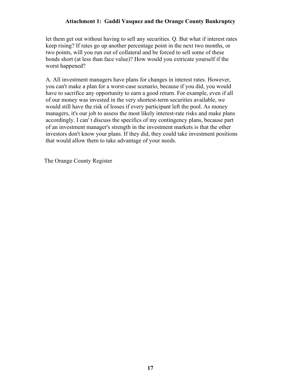let them get out without having to sell any securities. Q. But what if interest rates keep rising? If rates go up another percentage point in the next two months, or two points, will you run out of collateral and be forced to sell some of these bonds short (at less than face value)? How would you extricate yourself if the worst happened?

 A. All investment managers have plans for changes in interest rates. However, you can't make a plan for a worst-case scenario, because if you did, you would have to sacrifice any opportunity to earn a good return. For example, even if all of our money was invested in the very shortest-term securities available, we would still have the risk of losses if every participant left the pool. As money managers, it's our job to assess the most likely interest-rate risks and make plans accordingly. I can' t discuss the specifics of my contingency plans, because part of an investment manager's strength in the investment markets is that the other investors don't know your plans. If they did, they could take investment positions that would allow them to take advantage of your needs.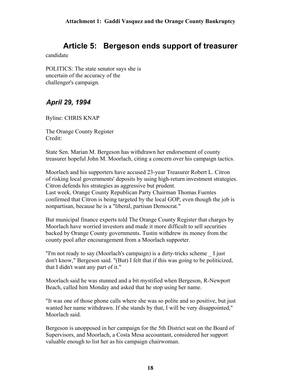# **Article 5: Bergeson ends support of treasurer**

<span id="page-17-0"></span>candidate

 POLITICS: The state senator says she is uncertain of the accuracy of the challenger's campaign.

### *April 29, 1994*

Byline: CHRIS KNAP

 The Orange County Register Credit:

 State Sen. Marian M. Bergeson has withdrawn her endorsement of county treasurer hopeful John M. Moorlach, citing a concern over his campaign tactics.

 Moorlach and his supporters have accused 23-year Treasurer Robert L. Citron of risking local governments' deposits by using high-return investment strategies. Citron defends his strategies as aggressive but prudent. Last week, Orange County Republican Party Chairman Thomas Fuentes confirmed that Citron is being targeted by the local GOP, even though the job is nonpartisan, because he is a "liberal, partisan Democrat."

 But municipal finance experts told The Orange County Register that charges by Moorlach have worried investors and made it more difficult to sell securities backed by Orange County governments. Tustin withdrew its money from the county pool after encouragement from a Moorlach supporter.

 "I'm not ready to say (Moorlach's campaign) is a dirty-tricks scheme \_ I just don't know," Bergeson said. "(But) I felt that if this was going to be politicized, that I didn't want any part of it."

 Moorlach said he was stunned and a bit mystified when Bergeson, R-Newport Beach, called him Monday and asked that he stop using her name.

 "It was one of those phone calls where she was so polite and so positive, but just wanted her name withdrawn. If she stands by that, I will be very disappointed," Moorlach said.

 Bergeson is unopposed in her campaign for the 5th District seat on the Board of Supervisors, and Moorlach, a Costa Mesa accountant, considered her support valuable enough to list her as his campaign chairwoman.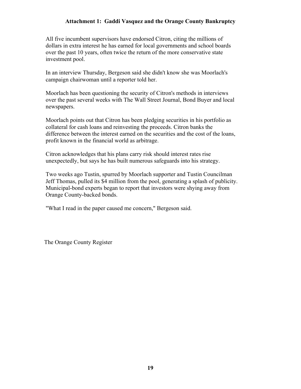All five incumbent supervisors have endorsed Citron, citing the millions of dollars in extra interest he has earned for local governments and school boards over the past 10 years, often twice the return of the more conservative state investment pool.

 In an interview Thursday, Bergeson said she didn't know she was Moorlach's campaign chairwoman until a reporter told her.

 Moorlach has been questioning the security of Citron's methods in interviews over the past several weeks with The Wall Street Journal, Bond Buyer and local newspapers.

 Moorlach points out that Citron has been pledging securities in his portfolio as collateral for cash loans and reinvesting the proceeds. Citron banks the difference between the interest earned on the securities and the cost of the loans, profit known in the financial world as arbitrage.

 Citron acknowledges that his plans carry risk should interest rates rise unexpectedly, but says he has built numerous safeguards into his strategy.

 Two weeks ago Tustin, spurred by Moorlach supporter and Tustin Councilman Jeff Thomas, pulled its \$4 million from the pool, generating a splash of publicity. Municipal-bond experts began to report that investors were shying away from Orange County-backed bonds.

"What I read in the paper caused me concern," Bergeson said.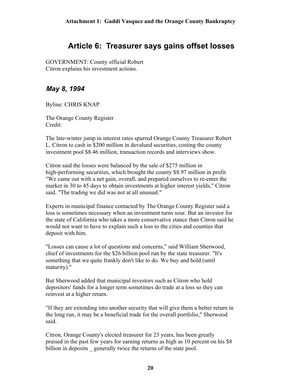# **Article 6: Treasurer says gains offset losses**

<span id="page-19-0"></span> GOVERNMENT: County official Robert Citron explains his investment actions.

### *May 8, 1994*

Byline: CHRIS KNAP

 The Orange County Register Credit:

 The late-winter jump in interest rates spurred Orange County Treasurer Robert L. Citron to cash in \$200 million in devalued securities, costing the county investment pool \$8.46 million, transaction records and interviews show.

 Citron said the losses were balanced by the sale of \$275 million in high-performing securities, which brought the county \$8.97 million in profit. "We came out with a net gain, overall, and prepared ourselves to re-enter the market in 30 to 45 days to obtain investments at higher interest yields," Citron said. "The trading we did was not at all unusual."

 Experts in municipal finance contacted by The Orange County Register said a loss is sometimes necessary when an investment turns sour. But an investor for the state of California who takes a more conservative stance than Citron said he would not want to have to explain such a loss to the cities and counties that deposit with him.

 "Losses can cause a lot of questions and concerns," said William Sherwood, chief of investments for the \$26 billion pool run by the state treasurer. "It's something that we quite frankly don't like to do. We buy and hold (until maturity)."

 But Sherwood added that municipal investors such as Citron who hold depositors' funds for a longer term sometimes do trade at a loss so they can reinvest at a higher return.

 "If they are extending into another security that will give them a better return in the long run, it may be a beneficial trade for the overall portfolio," Sherwood said.

 Citron, Orange County's elected treasurer for 23 years, has been greatly praised in the past few years for earning returns as high as 10 percent on his \$8 billion in deposits generally twice the returns of the state pool.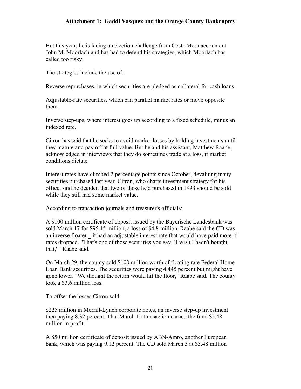But this year, he is facing an election challenge from Costa Mesa accountant John M. Moorlach and has had to defend his strategies, which Moorlach has called too risky.

The strategies include the use of:

Reverse repurchases, in which securities are pledged as collateral for cash loans.

 Adjustable-rate securities, which can parallel market rates or move opposite them.

 Inverse step-ups, where interest goes up according to a fixed schedule, minus an indexed rate.

 Citron has said that he seeks to avoid market losses by holding investments until they mature and pay off at full value. But he and his assistant, Matthew Raabe, acknowledged in interviews that they do sometimes trade at a loss, if market conditions dictate.

 Interest rates have climbed 2 percentage points since October, devaluing many securities purchased last year. Citron, who charts investment strategy for his office, said he decided that two of those he'd purchased in 1993 should be sold while they still had some market value.

According to transaction journals and treasurer's officials:

 A \$100 million certificate of deposit issued by the Bayerische Landesbank was sold March 17 for \$95.15 million, a loss of \$4.8 million. Raabe said the CD was an inverse floater \_ it had an adjustable interest rate that would have paid more if rates dropped. "That's one of those securities you say, `I wish I hadn't bought that,' " Raabe said.

 On March 29, the county sold \$100 million worth of floating rate Federal Home Loan Bank securities. The securities were paying 4.445 percent but might have gone lower. "We thought the return would hit the floor," Raabe said. The county took a \$3.6 million loss.

To offset the losses Citron sold:

 \$225 million in Merrill-Lynch corporate notes, an inverse step-up investment then paying 8.32 percent. That March 15 transaction earned the fund \$5.48 million in profit.

 A \$50 million certificate of deposit issued by ABN-Amro, another European bank, which was paying 9.12 percent. The CD sold March 3 at \$3.48 million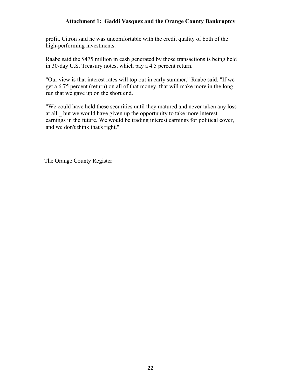profit. Citron said he was uncomfortable with the credit quality of both of the high-performing investments.

 Raabe said the \$475 million in cash generated by those transactions is being held in 30-day U.S. Treasury notes, which pay a 4.5 percent return.

 "Our view is that interest rates will top out in early summer," Raabe said. "If we get a 6.75 percent (return) on all of that money, that will make more in the long run that we gave up on the short end.

 "We could have held these securities until they matured and never taken any loss at all \_ but we would have given up the opportunity to take more interest earnings in the future. We would be trading interest earnings for political cover, and we don't think that's right."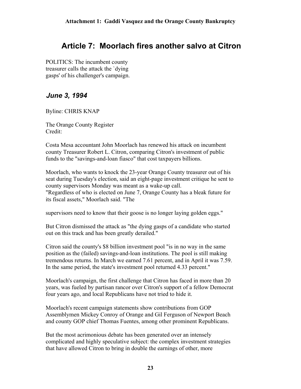# <span id="page-22-0"></span>**Article 7: Moorlach fires another salvo at Citron**

 POLITICS: The incumbent county treasurer calls the attack the `dying gasps' of his challenger's campaign.

### *June 3, 1994*

Byline: CHRIS KNAP

 The Orange County Register Credit:

 Costa Mesa accountant John Moorlach has renewed his attack on incumbent county Treasurer Robert L. Citron, comparing Citron's investment of public funds to the "savings-and-loan fiasco" that cost taxpayers billions.

 Moorlach, who wants to knock the 23-year Orange County treasurer out of his seat during Tuesday's election, said an eight-page investment critique he sent to county supervisors Monday was meant as a wake-up call. "Regardless of who is elected on June 7, Orange County has a bleak future for its fiscal assets," Moorlach said. "The

supervisors need to know that their goose is no longer laying golden eggs."

 But Citron dismissed the attack as "the dying gasps of a candidate who started out on this track and has been greatly derailed."

 Citron said the county's \$8 billion investment pool "is in no way in the same position as the (failed) savings-and-loan institutions. The pool is still making tremendous returns. In March we earned 7.61 percent, and in April it was 7.59. In the same period, the state's investment pool returned 4.33 percent."

 Moorlach's campaign, the first challenge that Citron has faced in more than 20 years, was fueled by partisan rancor over Citron's support of a fellow Democrat four years ago, and local Republicans have not tried to hide it.

 Moorlach's recent campaign statements show contributions from GOP Assemblymen Mickey Conroy of Orange and Gil Ferguson of Newport Beach and county GOP chief Thomas Fuentes, among other prominent Republicans.

 But the most acrimonious debate has been generated over an intensely complicated and highly speculative subject: the complex investment strategies that have allowed Citron to bring in double the earnings of other, more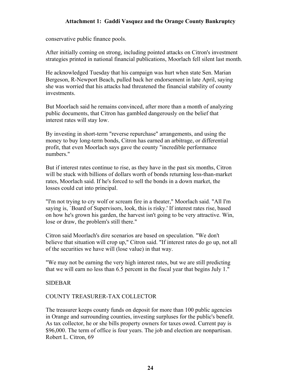conservative public finance pools.

 After initially coming on strong, including pointed attacks on Citron's investment strategies printed in national financial publications, Moorlach fell silent last month.

 He acknowledged Tuesday that his campaign was hurt when state Sen. Marian Bergeson, R-Newport Beach, pulled back her endorsement in late April, saying she was worried that his attacks had threatened the financial stability of county investments.

 But Moorlach said he remains convinced, after more than a month of analyzing public documents, that Citron has gambled dangerously on the belief that interest rates will stay low.

 By investing in short-term "reverse repurchase" arrangements, and using the money to buy long-term bonds, Citron has earned an arbitrage, or differential profit, that even Moorlach says gave the county "incredible performance numbers."

 But if interest rates continue to rise, as they have in the past six months, Citron will be stuck with billions of dollars worth of bonds returning less-than-market rates, Moorlach said. If he's forced to sell the bonds in a down market, the losses could cut into principal.

 "I'm not trying to cry wolf or scream fire in a theater," Moorlach said. "All I'm saying is, `Board of Supervisors, look, this is risky.' If interest rates rise, based on how he's grown his garden, the harvest isn't going to be very attractive. Win, lose or draw, the problem's still there."

 Citron said Moorlach's dire scenarios are based on speculation. "We don't believe that situation will crop up," Citron said. "If interest rates do go up, not all of the securities we have will (lose value) in that way.

 "We may not be earning the very high interest rates, but we are still predicting that we will earn no less than 6.5 percent in the fiscal year that begins July 1."

#### SIDEBAR

#### COUNTY TREASURER-TAX COLLECTOR

 The treasurer keeps county funds on deposit for more than 100 public agencies in Orange and surrounding counties, investing surpluses for the public's benefit. As tax collector, he or she bills property owners for taxes owed. Current pay is \$96,000. The term of office is four years. The job and election are nonpartisan. Robert L. Citron, 69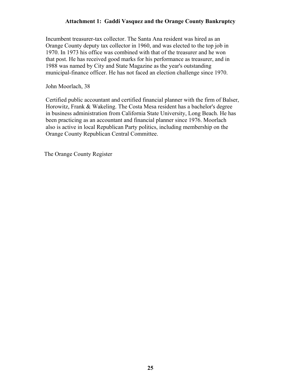Incumbent treasurer-tax collector. The Santa Ana resident was hired as an Orange County deputy tax collector in 1960, and was elected to the top job in 1970. In 1973 his office was combined with that of the treasurer and he won that post. He has received good marks for his performance as treasurer, and in 1988 was named by City and State Magazine as the year's outstanding municipal-finance officer. He has not faced an election challenge since 1970.

John Moorlach, 38

 Certified public accountant and certified financial planner with the firm of Balser, Horowitz, Frank & Wakeling. The Costa Mesa resident has a bachelor's degree in business administration from California State University, Long Beach. He has been practicing as an accountant and financial planner since 1976. Moorlach also is active in local Republican Party politics, including membership on the Orange County Republican Central Committee.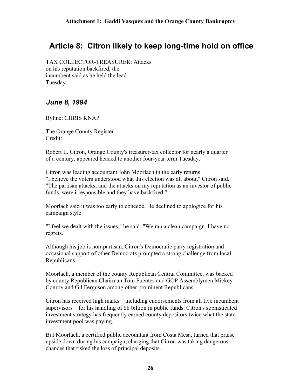# <span id="page-25-0"></span>**Article 8: Citron likely to keep long-time hold on office**

 TAX COLLECTOR-TREASURER: Attacks on his reputation backfired, the incumbent said as he held the lead Tuesday.

### *June 8, 1994*

Byline: CHRIS KNAP

 The Orange County Register Credit:

 Robert L. Citron, Orange County's treasurer-tax collector for nearly a quarter of a century, appeared headed to another four-year term Tuesday.

 Citron was leading accountant John Moorlach in the early returns. "I believe the voters understood what this election was all about," Citron said. "The partisan attacks, and the attacks on my reputation as an investor of public funds, were irresponsible and they have backfired."

 Moorlach said it was too early to concede. He declined to apologize for his campaign style.

 "I feel we dealt with the issues," he said. "We ran a clean campaign. I have no regrets."

 Although his job is non-partisan, Citron's Democratic party registration and occasional support of other Democrats prompted a strong challenge from local Republicans.

 Moorlach, a member of the county Republican Central Committee, was backed by county Republican Chairman Tom Fuentes and GOP Assemblymen Mickey Conroy and Gil Ferguson among other prominent Republicans.

 Citron has received high marks \_ including endorsements from all five incumbent supervisors for his handling of \$8 billion in public funds. Citron's sophisticated investment strategy has frequently earned county depositors twice what the state investment pool was paying.

 But Moorlach, a certified public accountant from Costa Mesa, turned that praise upside down during his campaign, charging that Citron was taking dangerous chances that risked the loss of principal deposits.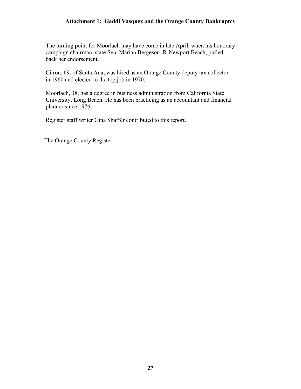The turning point for Moorlach may have come in late April, when his honorary campaign chairman, state Sen. Marian Bergeson, R-Newport Beach, pulled back her endorsement.

 Citron, 69, of Santa Ana, was hired as an Orange County deputy tax collector in 1960 and elected to the top job in 1970.

 Moorlach, 38, has a degree in business administration from California State University, Long Beach. He has been practicing as an accountant and financial planner since 1976.

Register staff writer Gina Shaffer contributed to this report.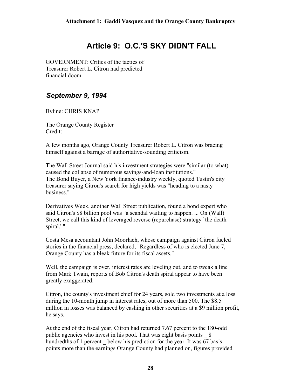# **Article 9: O.C.'S SKY DIDN'T FALL**

<span id="page-27-0"></span> GOVERNMENT: Critics of the tactics of Treasurer Robert L. Citron had predicted financial doom.

### *September 9, 1994*

Byline: CHRIS KNAP

 The Orange County Register Credit:

 A few months ago, Orange County Treasurer Robert L. Citron was bracing himself against a barrage of authoritative-sounding criticism.

 The Wall Street Journal said his investment strategies were "similar (to what) caused the collapse of numerous savings-and-loan institutions." The Bond Buyer, a New York finance-industry weekly, quoted Tustin's city treasurer saying Citron's search for high yields was "heading to a nasty business."

 Derivatives Week, another Wall Street publication, found a bond expert who said Citron's \$8 billion pool was "a scandal waiting to happen. ... On (Wall) Street, we call this kind of leveraged reverse (repurchase) strategy `the death spiral.' "

 Costa Mesa accountant John Moorlach, whose campaign against Citron fueled stories in the financial press, declared, "Regardless of who is elected June 7, Orange County has a bleak future for its fiscal assets."

 Well, the campaign is over, interest rates are leveling out, and to tweak a line from Mark Twain, reports of Bob Citron's death spiral appear to have been greatly exaggerated.

 Citron, the county's investment chief for 24 years, sold two investments at a loss during the 10-month jump in interest rates, out of more than 500. The \$8.5 million in losses was balanced by cashing in other securities at a \$9 million profit, he says.

 At the end of the fiscal year, Citron had returned 7.67 percent to the 180-odd public agencies who invest in his pool. That was eight basis points  $8$ hundredths of 1 percent below his prediction for the year. It was 67 basis points more than the earnings Orange County had planned on, figures provided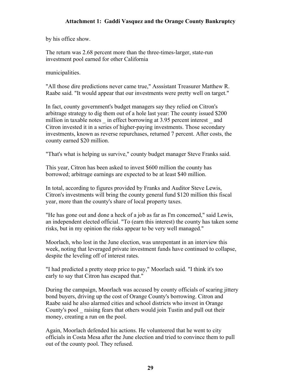by his office show.

 The return was 2.68 percent more than the three-times-larger, state-run investment pool earned for other California

municipalities.

 "All those dire predictions never came true," Asssistant Treasurer Matthew R. Raabe said. "It would appear that our investments were pretty well on target."

 In fact, county government's budget managers say they relied on Citron's arbitrage strategy to dig them out of a hole last year: The county issued \$200 million in taxable notes in effect borrowing at 3.95 percent interest and Citron invested it in a series of higher-paying investments. Those secondary investments, known as reverse repurchases, returned 7 percent. After costs, the county earned \$20 million.

"That's what is helping us survive," county budget manager Steve Franks said.

 This year, Citron has been asked to invest \$600 million the county has borrowed; arbitrage earnings are expected to be at least \$40 million.

 In total, according to figures provided by Franks and Auditor Steve Lewis, Citron's investments will bring the county general fund \$120 million this fiscal year, more than the county's share of local property taxes.

 "He has gone out and done a heck of a job as far as I'm concerned," said Lewis, an independent elected official. "To (earn this interest) the county has taken some risks, but in my opinion the risks appear to be very well managed."

 Moorlach, who lost in the June election, was unrepentant in an interview this week, noting that leveraged private investment funds have continued to collapse, despite the leveling off of interest rates.

 "I had predicted a pretty steep price to pay," Moorlach said. "I think it's too early to say that Citron has escaped that."

 During the campaign, Moorlach was accused by county officials of scaring jittery bond buyers, driving up the cost of Orange County's borrowing. Citron and Raabe said he also alarmed cities and school districts who invest in Orange County's pool \_ raising fears that others would join Tustin and pull out their money, creating a run on the pool.

 Again, Moorlach defended his actions. He volunteered that he went to city officials in Costa Mesa after the June election and tried to convince them to pull out of the county pool. They refused.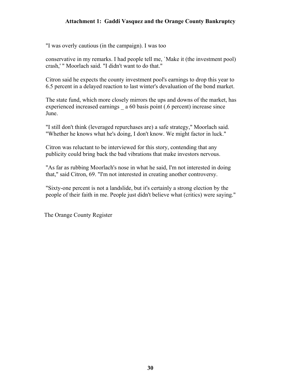"I was overly cautious (in the campaign). I was too

 conservative in my remarks. I had people tell me, `Make it (the investment pool) crash,' " Moorlach said. "I didn't want to do that."

 Citron said he expects the county investment pool's earnings to drop this year to 6.5 percent in a delayed reaction to last winter's devaluation of the bond market.

 The state fund, which more closely mirrors the ups and downs of the market, has experienced increased earnings  $\alpha$  60 basis point (.6 percent) increase since June.

 "I still don't think (leveraged repurchases are) a safe strategy," Moorlach said. "Whether he knows what he's doing, I don't know. We might factor in luck."

 Citron was reluctant to be interviewed for this story, contending that any publicity could bring back the bad vibrations that make investors nervous.

 "As far as rubbing Moorlach's nose in what he said, I'm not interested in doing that," said Citron, 69. "I'm not interested in creating another controversy.

 "Sixty-one percent is not a landslide, but it's certainly a strong election by the people of their faith in me. People just didn't believe what (critics) were saying."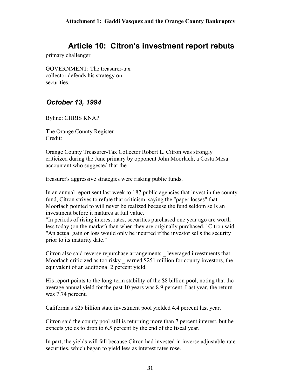# **Article 10: Citron's investment report rebuts**

<span id="page-30-0"></span>primary challenger

 GOVERNMENT: The treasurer-tax collector defends his strategy on securities.

### *October 13, 1994*

Byline: CHRIS KNAP

 The Orange County Register Credit:

 Orange County Treasurer-Tax Collector Robert L. Citron was strongly criticized during the June primary by opponent John Moorlach, a Costa Mesa accountant who suggested that the

treasurer's aggressive strategies were risking public funds.

 In an annual report sent last week to 187 public agencies that invest in the county fund, Citron strives to refute that criticism, saying the "paper losses" that Moorlach pointed to will never be realized because the fund seldom sells an investment before it matures at full value.

 "In periods of rising interest rates, securities purchased one year ago are worth less today (on the market) than when they are originally purchased," Citron said. "An actual gain or loss would only be incurred if the investor sells the security prior to its maturity date."

 Citron also said reverse repurchase arrangements \_ leveraged investments that Moorlach criticized as too risky earned \$251 million for county investors, the equivalent of an additional 2 percent yield.

 His report points to the long-term stability of the \$8 billion pool, noting that the average annual yield for the past 10 years was 8.9 percent. Last year, the return was 7.74 percent.

California's \$25 billion state investment pool yielded 4.4 percent last year.

 Citron said the county pool still is returning more than 7 percent interest, but he expects yields to drop to 6.5 percent by the end of the fiscal year.

 In part, the yields will fall because Citron had invested in inverse adjustable-rate securities, which began to yield less as interest rates rose.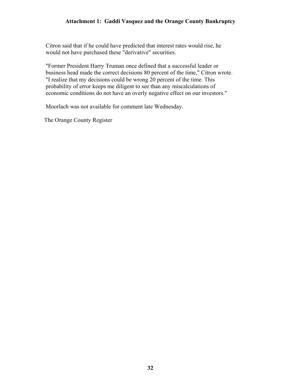Citron said that if he could have predicted that interest rates would rise, he would not have purchased these "derivative" securities.

 "Former President Harry Truman once defined that a successful leader or business head made the correct decisions 80 percent of the time," Citron wrote. "I realize that my decisions could be wrong 20 percent of the time. This probability of error keeps me diligent to see than any miscalculations of economic conditions do not have an overly negative effect on our investors."

Moorlach was not available for comment late Wednesday.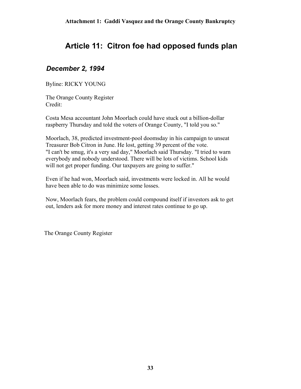# <span id="page-32-0"></span>**Article 11: Citron foe had opposed funds plan**

### *December 2, 1994*

Byline: RICKY YOUNG

 The Orange County Register Credit:

 Costa Mesa accountant John Moorlach could have stuck out a billion-dollar raspberry Thursday and told the voters of Orange County, "I told you so."

 Moorlach, 38, predicted investment-pool doomsday in his campaign to unseat Treasurer Bob Citron in June. He lost, getting 39 percent of the vote. "I can't be smug, it's a very sad day," Moorlach said Thursday. "I tried to warn everybody and nobody understood. There will be lots of victims. School kids will not get proper funding. Our taxpayers are going to suffer."

 Even if he had won, Moorlach said, investments were locked in. All he would have been able to do was minimize some losses.

 Now, Moorlach fears, the problem could compound itself if investors ask to get out, lenders ask for more money and interest rates continue to go up.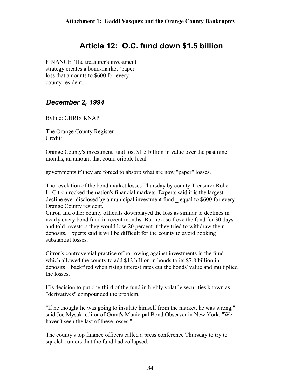# **Article 12: O.C. fund down \$1.5 billion**

<span id="page-33-0"></span> FINANCE: The treasurer's investment strategy creates a bond-market `paper' loss that amounts to \$600 for every county resident.

### *December 2, 1994*

Byline: CHRIS KNAP

 The Orange County Register Credit:

 Orange County's investment fund lost \$1.5 billion in value over the past nine months, an amount that could cripple local

governments if they are forced to absorb what are now "paper" losses.

 The revelation of the bond market losses Thursday by county Treasurer Robert L. Citron rocked the nation's financial markets. Experts said it is the largest decline ever disclosed by a municipal investment fund equal to \$600 for every Orange County resident.

 Citron and other county officials downplayed the loss as similar to declines in nearly every bond fund in recent months. But he also froze the fund for 30 days and told investors they would lose 20 percent if they tried to withdraw their deposits. Experts said it will be difficult for the county to avoid booking substantial losses.

 Citron's controversial practice of borrowing against investments in the fund \_ which allowed the county to add \$12 billion in bonds to its \$7.8 billion in deposits \_ backfired when rising interest rates cut the bonds' value and multiplied the losses.

 His decision to put one-third of the fund in highly volatile securities known as "derivatives" compounded the problem.

 "If he thought he was going to insulate himself from the market, he was wrong," said Joe Mysak, editor of Grant's Municipal Bond Observer in New York. "We haven't seen the last of these losses."

 The county's top finance officers called a press conference Thursday to try to squelch rumors that the fund had collapsed.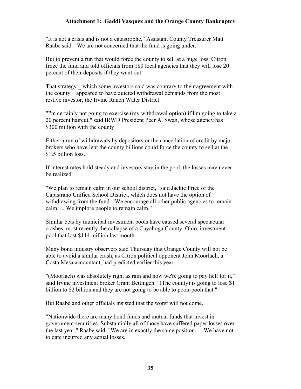"It is not a crisis and is not a catastrophe," Assistant County Treasurer Matt Raabe said. "We are not concerned that the fund is going under."

 But to prevent a run that would force the county to sell at a huge loss, Citron froze the fund and told officials from 180 local agencies that they will lose 20 percent of their deposits if they want out.

That strategy which some investors said was contrary to their agreement with the county appeared to have quieted withdrawal demands from the most restive investor, the Irvine Ranch Water District.

 "I'm certainly not going to exercise (my withdrawal option) if I'm going to take a 20 percent haircut," said IRWD President Peer A. Swan, whose agency has \$300 million with the county.

 Either a run of withdrawals by depositors or the cancellation of credit by major brokers who have lent the county billions could force the county to sell at the \$1.5 billion loss.

 If interest rates hold steady and investors stay in the pool, the losses may never be realized.

 "We plan to remain calm in our school district," said Jackie Price of the Capistrano Unified School District, which does not have the option of withdrawing from the fund. "We encourage all other public agencies to remain calm. ... We implore people to remain calm."

 Similar bets by municipal investment pools have caused several spectacular crashes, most recently the collapse of a Cuyahoga County, Ohio, investment pool that lost \$114 million last month.

 Many bond industry observers said Thursday that Orange County will not be able to avoid a similar crash, as Citron political opponent John Moorlach, a Costa Mesa accountant, had predicted earlier this year.

 "(Moorlach) was absolutely right as rain and now we're going to pay hell for it," said Irvine investment broker Grant Bettingen. "(The county) is going to lose \$1 billion to \$2 billion and they are not going to be able to pooh-pooh that."

But Raabe and other officials insisted that the worst will not come.

 "Nationwide there are many bond funds and mutual funds that invest in government securities. Substantially all of those have suffered paper losses over the last year," Raabe said. "We are in exactly the same position. ... We have not to date incurred any actual losses."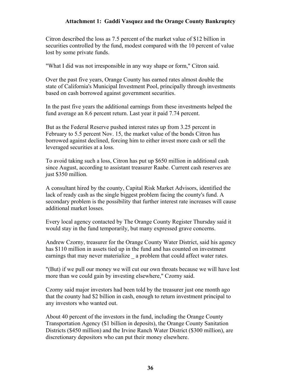Citron described the loss as 7.5 percent of the market value of \$12 billion in securities controlled by the fund, modest compared with the 10 percent of value lost by some private funds.

"What I did was not irresponsible in any way shape or form," Citron said.

 Over the past five years, Orange County has earned rates almost double the state of California's Municipal Investment Pool, principally through investments based on cash borrowed against government securities.

 In the past five years the additional earnings from these investments helped the fund average an 8.6 percent return. Last year it paid 7.74 percent.

 But as the Federal Reserve pushed interest rates up from 3.25 percent in February to 5.5 percent Nov. 15, the market value of the bonds Citron has borrowed against declined, forcing him to either invest more cash or sell the leveraged securities at a loss.

 To avoid taking such a loss, Citron has put up \$650 million in additional cash since August, according to assistant treasurer Raabe. Current cash reserves are just \$350 million.

 A consultant hired by the county, Capital Risk Market Advisors, identified the lack of ready cash as the single biggest problem facing the county's fund. A secondary problem is the possibility that further interest rate increases will cause additional market losses.

 Every local agency contacted by The Orange County Register Thursday said it would stay in the fund temporarily, but many expressed grave concerns.

 Andrew Czorny, treasurer for the Orange County Water District, said his agency has \$110 million in assets tied up in the fund and has counted on investment earnings that may never materialize a problem that could affect water rates.

 "(But) if we pull our money we will cut our own throats because we will have lost more than we could gain by investing elsewhere," Czorny said.

 Czorny said major investors had been told by the treasurer just one month ago that the county had \$2 billion in cash, enough to return investment principal to any investors who wanted out.

 About 40 percent of the investors in the fund, including the Orange County Transportation Agency (\$1 billion in deposits), the Orange County Sanitation Districts (\$450 million) and the Irvine Ranch Water District (\$300 million), are discretionary depositors who can put their money elsewhere.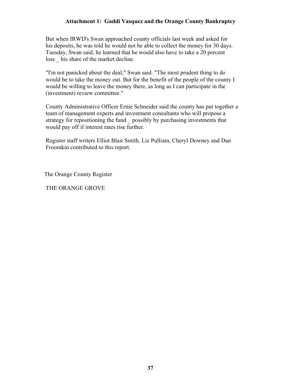But when IRWD's Swan approached county officials last week and asked for his deposits, he was told he would not be able to collect the money for 30 days. Tuesday, Swan said, he learned that he would also have to take a 20 percent loss his share of the market decline.

 "I'm not panicked about the deal," Swan said. "The most prudent thing to do would be to take the money out. But for the benefit of the people of the county I would be willing to leave the money there, as long as I can participate in the (investment) review committee."

 County Administrative Officer Ernie Schneider said the county has put together a team of management experts and investment consultants who will propose a strategy for repositioning the fund \_ possibly by purchasing investments that would pay off if interest rates rise further.

 Register staff writers Elliot Blair Smith, Liz Pulliam, Cheryl Downey and Dan Froomkin contributed to this report.

The Orange County Register

THE ORANGE GROVE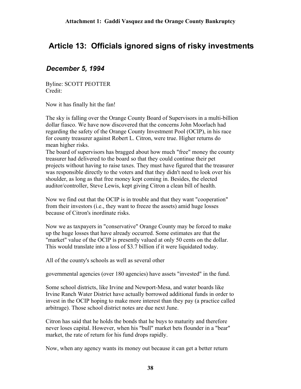# <span id="page-37-0"></span>**Article 13: Officials ignored signs of risky investments**

### *December 5, 1994*

 Byline: SCOTT PEOTTER Credit:

Now it has finally hit the fan!

 The sky is falling over the Orange County Board of Supervisors in a multi-billion dollar fiasco. We have now discovered that the concerns John Moorlach had regarding the safety of the Orange County Investment Pool (OCIP), in his race for county treasurer against Robert L. Citron, were true. Higher returns do mean higher risks.

 The board of supervisors has bragged about how much "free" money the county treasurer had delivered to the board so that they could continue their pet projects without having to raise taxes. They must have figured that the treasurer was responsible directly to the voters and that they didn't need to look over his shoulder, as long as that free money kept coming in. Besides, the elected auditor/controller, Steve Lewis, kept giving Citron a clean bill of health.

 Now we find out that the OCIP is in trouble and that they want "cooperation" from their investors (i.e., they want to freeze the assets) amid huge losses because of Citron's inordinate risks.

 Now we as taxpayers in "conservative" Orange County may be forced to make up the huge losses that have already occurred. Some estimates are that the "market" value of the OCIP is presently valued at only 50 cents on the dollar. This would translate into a loss of \$3.7 billion if it were liquidated today.

All of the county's schools as well as several other

governmental agencies (over 180 agencies) have assets "invested" in the fund.

 Some school districts, like Irvine and Newport-Mesa, and water boards like Irvine Ranch Water District have actually borrowed additional funds in order to invest in the OCIP hoping to make more interest than they pay (a practice called arbitrage). Those school district notes are due next June.

 Citron has said that he holds the bonds that he buys to maturity and therefore never loses capital. However, when his "bull" market bets flounder in a "bear" market, the rate of return for his fund drops rapidly.

Now, when any agency wants its money out because it can get a better return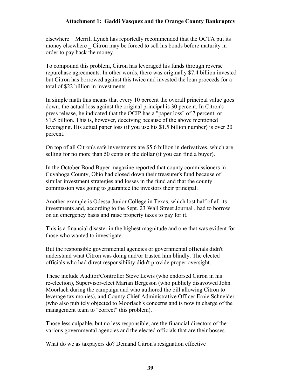elsewhere \_ Merrill Lynch has reportedly recommended that the OCTA put its money elsewhere Citron may be forced to sell his bonds before maturity in order to pay back the money.

 To compound this problem, Citron has leveraged his funds through reverse repurchase agreements. In other words, there was originally \$7.4 billion invested but Citron has borrowed against this twice and invested the loan proceeds for a total of \$22 billion in investments.

 In simple math this means that every 10 percent the overall principal value goes down, the actual loss against the original principal is 30 percent. In Citron's press release, he indicated that the OCIP has a "paper loss" of 7 percent, or \$1.5 billion. This is, however, deceiving because of the above mentioned leveraging. His actual paper loss (if you use his \$1.5 billion number) is over 20 percent.

 On top of all Citron's safe investments are \$5.6 billion in derivatives, which are selling for no more than 50 cents on the dollar (if you can find a buyer).

 In the October Bond Buyer magazine reported that county commissioners in Cuyahoga County, Ohio had closed down their treasurer's fund because of similar investment strategies and losses in the fund and that the county commission was going to guarantee the investors their principal.

 Another example is Odessa Junior College in Texas, which lost half of all its investments and, according to the Sept. 23 Wall Street Journal , had to borrow on an emergency basis and raise property taxes to pay for it.

 This is a financial disaster in the highest magnitude and one that was evident for those who wanted to investigate.

 But the responsible governmental agencies or governmental officials didn't understand what Citron was doing and/or trusted him blindly. The elected officials who had direct responsibility didn't provide proper oversight.

 These include Auditor/Controller Steve Lewis (who endorsed Citron in his re-election), Supervisor-elect Marian Bergeson (who publicly disavowed John Moorlach during the campaign and who authored the bill allowing Citron to leverage tax monies), and County Chief Administrative Officer Ernie Schneider (who also publicly objected to Moorlach's concerns and is now in charge of the management team to "correct" this problem).

 Those less culpable, but no less responsible, are the financial directors of the various governmental agencies and the elected officials that are their bosses.

What do we as taxpayers do? Demand Citron's resignation effective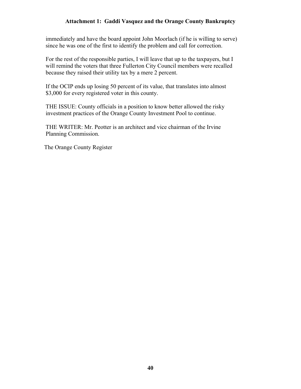immediately and have the board appoint John Moorlach (if he is willing to serve) since he was one of the first to identify the problem and call for correction.

 For the rest of the responsible parties, I will leave that up to the taxpayers, but I will remind the voters that three Fullerton City Council members were recalled because they raised their utility tax by a mere 2 percent.

 If the OCIP ends up losing 50 percent of its value, that translates into almost \$3,000 for every registered voter in this county.

 THE ISSUE: County officials in a position to know better allowed the risky investment practices of the Orange County Investment Pool to continue.

 THE WRITER: Mr. Peotter is an architect and vice chairman of the Irvine Planning Commission.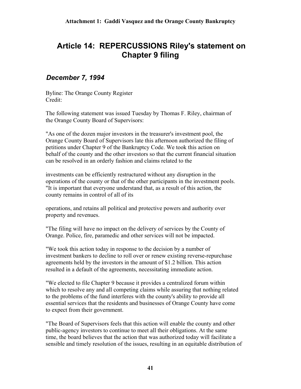# <span id="page-40-0"></span>**Article 14: REPERCUSSIONS Riley's statement on Chapter 9 filing**

### *December 7, 1994*

 Byline: The Orange County Register Credit:

 The following statement was issued Tuesday by Thomas F. Riley, chairman of the Orange County Board of Supervisors:

 "As one of the dozen major investors in the treasurer's investment pool, the Orange County Board of Supervisors late this afternoon authorized the filing of petitions under Chapter 9 of the Bankruptcy Code. We took this action on behalf of the county and the other investors so that the current financial situation can be resolved in an orderly fashion and claims related to the

 investments can be efficiently restructured without any disruption in the operations of the county or that of the other participants in the investment pools. "It is important that everyone understand that, as a result of this action, the county remains in control of all of its

 operations, and retains all political and protective powers and authority over property and revenues.

 "The filing will have no impact on the delivery of services by the County of Orange. Police, fire, paramedic and other services will not be impacted.

 "We took this action today in response to the decision by a number of investment bankers to decline to roll over or renew existing reverse-repurchase agreements held by the investors in the amount of \$1.2 billion. This action resulted in a default of the agreements, necessitating immediate action.

 "We elected to file Chapter 9 because it provides a centralized forum within which to resolve any and all competing claims while assuring that nothing related to the problems of the fund interferes with the county's ability to provide all essential services that the residents and businesses of Orange County have come to expect from their government.

 "The Board of Supervisors feels that this action will enable the county and other public-agency investors to continue to meet all their obligations. At the same time, the board believes that the action that was authorized today will facilitate a sensible and timely resolution of the issues, resulting in an equitable distribution of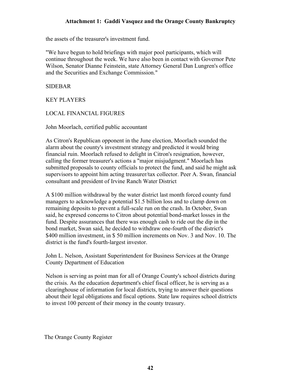the assets of the treasurer's investment fund.

 "We have begun to hold briefings with major pool participants, which will continue throughout the week. We have also been in contact with Governor Pete Wilson, Senator Dianne Feinstein, state Attorney General Dan Lungren's office and the Securities and Exchange Commission."

SIDEBAR

KEY PLAYERS

#### LOCAL FINANCIAL FIGURES

John Moorlach, certified public accountant

 As Citron's Republican opponent in the June election, Moorlach sounded the alarm about the county's investment strategy and predicted it would bring financial ruin. Moorlach refused to delight in Citron's resignation, however, calling the former treasurer's actions a "major misjudgment." Moorlach has submitted proposals to county officials to protect the fund, and said he might ask supervisors to appoint him acting treasurer/tax collector. Peer A. Swan, financial consultant and president of Irvine Ranch Water District

 A \$100 million withdrawal by the water district last month forced county fund managers to acknowledge a potential \$1.5 billion loss and to clamp down on remaining deposits to prevent a full-scale run on the crash. In October, Swan said, he expresed concerns to Citron about potential bond-market losses in the fund. Despite assurances that there was enough cash to ride out the dip in the bond market, Swan said, he decided to withdraw one-fourth of the district's \$400 million investment, in \$50 million increments on Nov. 3 and Nov. 10. The district is the fund's fourth-largest investor.

 John L. Nelson, Assistant Superintendent for Business Services at the Orange County Department of Education

 Nelson is serving as point man for all of Orange County's school districts during the crisis. As the education department's chief fiscal officer, he is serving as a clearinghouse of information for local districts, trying to answer their questions about their legal obligations and fiscal options. State law requires school districts to invest 100 percent of their money in the county treasury.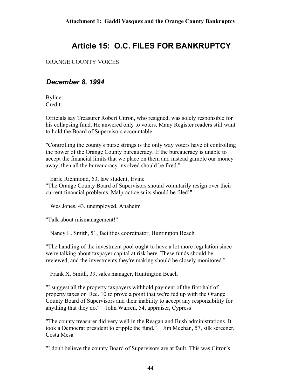# **Article 15: O.C. FILES FOR BANKRUPTCY**

#### <span id="page-43-0"></span>ORANGE COUNTY VOICES

### *December 8, 1994*

 Byline: Credit:

 Officials say Treasurer Robert Citron, who resigned, was solely responsible for his collapsing fund. He anwered only to voters. Many Register readers still want to hold the Board of Supervisors accountable.

 "Controlling the county's purse strings is the only way voters have of controlling the power of the Orange County bureaucracy. If the bureaucracy is unable to accept the financial limits that we place on them and instead gamble our money away, then all the bureaucracy involved should be fired."

\_ Earle Richmond, 53, law student, Irvine

 "The Orange County Board of Supervisors should voluntarily resign over their current financial problems. Malpractice suits should be filed!"

Wes Jones, 43, unemployed, Anaheim

"Talk about mismanagement!"

\_ Nancy L. Smith, 51, facilities coordinator, Huntington Beach

 "The handling of the investment pool ought to have a lot more regulation since we're talking about taxpayer capital at risk here. These funds should be reviewed, and the investments they're making should be closely monitored."

\_ Frank X. Smith, 39, sales manager, Huntington Beach

 "I suggest all the property taxpayers withhold payment of the first half of property taxes on Dec. 10 to prove a point that we're fed up with the Orange County Board of Supervisors and their inability to accept any responsibility for anything that they do." \_ John Warren, 54, appraiser, Cypress

 "The county treasurer did very well in the Reagan and Bush administrations. It took a Democrat president to cripple the fund." \_ Jim Meehan, 57, silk screener, Costa Mesa

"I don't believe the county Board of Supervisors are at fault. This was Citron's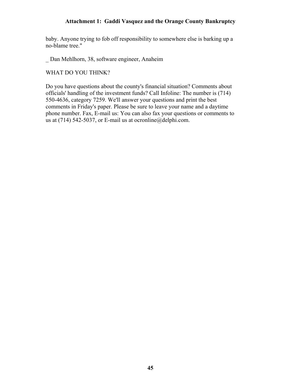baby. Anyone trying to fob off responsibility to somewhere else is barking up a no-blame tree."

\_ Dan Mehlhorn, 38, software engineer, Anaheim

WHAT DO YOU THINK?

 Do you have questions about the county's financial situation? Comments about officials' handling of the investment funds? Call Infoline: The number is (714) 550-4636, category 7259. We'll answer your questions and print the best comments in Friday's paper. Please be sure to leave your name and a daytime phone number. Fax, E-mail us: You can also fax your questions or comments to us at (714) 542-5037, or E-mail us at ocronline@delphi.com.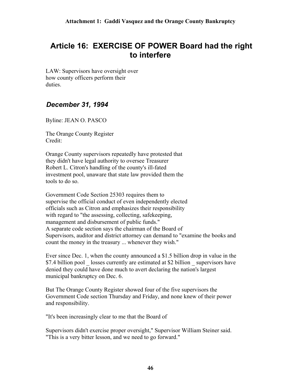# <span id="page-45-0"></span>**Article 16: EXERCISE OF POWER Board had the right to interfere**

 LAW: Supervisors have oversight over how county officers perform their duties.

### *December 31, 1994*

Byline: JEAN O. PASCO

 The Orange County Register Credit:

 Orange County supervisors repeatedly have protested that they didn't have legal authority to oversee Treasurer Robert L. Citron's handling of the county's ill-fated investment pool, unaware that state law provided them the tools to do so.

 Government Code Section 25303 requires them to supervise the official conduct of even independently elected officials such as Citron and emphasizes their responsibility with regard to "the assessing, collecting, safekeeping, management and disbursement of public funds." A separate code section says the chairman of the Board of Supervisors, auditor and district attorney can demand to "examine the books and count the money in the treasury ... whenever they wish."

 Ever since Dec. 1, when the county announced a \$1.5 billion drop in value in the \$7.4 billion pool losses currently are estimated at \$2 billion supervisors have denied they could have done much to avert declaring the nation's largest municipal bankruptcy on Dec. 6.

 But The Orange County Register showed four of the five supervisors the Government Code section Thursday and Friday, and none knew of their power and responsibility.

"It's been increasingly clear to me that the Board of

 Supervisors didn't exercise proper oversight," Supervisor William Steiner said. "This is a very bitter lesson, and we need to go forward."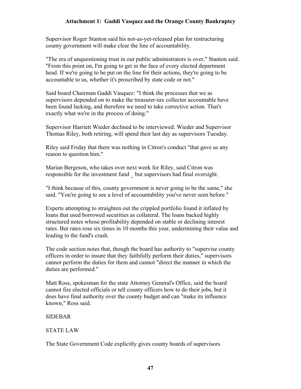Supervisor Roger Stanton said his not-as-yet-released plan for restructuring county government will make clear the line of accountability.

 "The era of unquestioning trust in our public administrators is over," Stanton said. "From this point on, I'm going to get in the face of every elected department head. If we're going to be put on the line for their actions, they're going to be accountable to us, whether it's proscribed by state code or not."

 Said board Chairman Gaddi Vasquez: "I think the processes that we as supervisors depended on to make the treasurer-tax collector accountable have been found lacking, and therefore we need to take corrective action. That's exactly what we're in the process of doing."

 Supervisor Harriett Wieder declined to be interviewed. Wieder and Supervisor Thomas Riley, both retiring, will spend their last day as supervisors Tuesday.

 Riley said Friday that there was nothing in Citron's conduct "that gave us any reason to question him."

 Marian Bergeson, who takes over next week for Riley, said Citron was responsible for the investment fund \_ but supervisors had final oversight.

 "I think because of this, county government is never going to be the same," she said. "You're going to see a level of accountability you've never seen before."

 Experts attempting to straighten out the crippled portfolio found it inflated by loans that used borrowed securities as collateral. The loans backed highly structured notes whose profitability depended on stable or declining interest rates. But rates rose six times in 10 months this year, undermining their value and leading to the fund's crash.

 The code section notes that, though the board has authority to "supervise county officers in order to insure that they faithfully perform their duties," supervisors cannot perform the duties for them and cannot "direct the manner in which the duties are performed."

 Matt Ross, spokesman for the state Attorney General's Office, said the board cannot fire elected officials or tell county officers how to do their jobs, but it does have final authority over the county budget and can "make its influence known," Ross said.

#### SIDEBAR

#### STATE LAW

The State Government Code explicitly gives county boards of supervisors